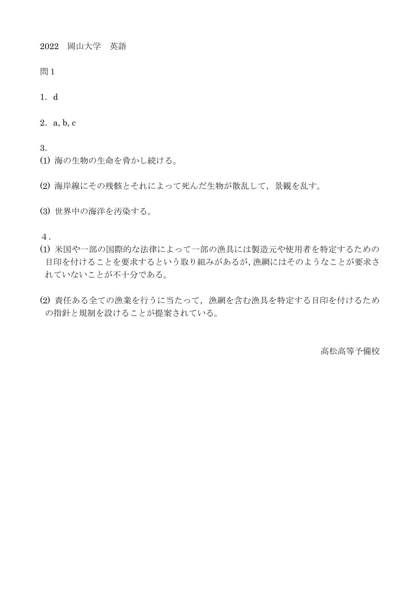2022 岡山大学 英語

- 問1
- 1.d
- 2.a, b, c
- 3.
- (1) 海の生物の生命を脅かし続ける。
- (2) 海岸線にその残骸とそれによって死んだ生物が散乱して,景観を乱す。
- (3) 世界中の海洋を汚染する。

4.

- (1) 米国や一部の国際的な法律によって一部の漁具には製造元や使用者を特定するための 目印を付けることを要求するという取り組みがあるが,漁網にはそのようなことが要求さ れていないことが不十分である。
- (2) 責任ある全ての漁業を行うに当たって,漁網を含む漁具を特定する目印を付けるため の指針と規制を設けることが提案されている。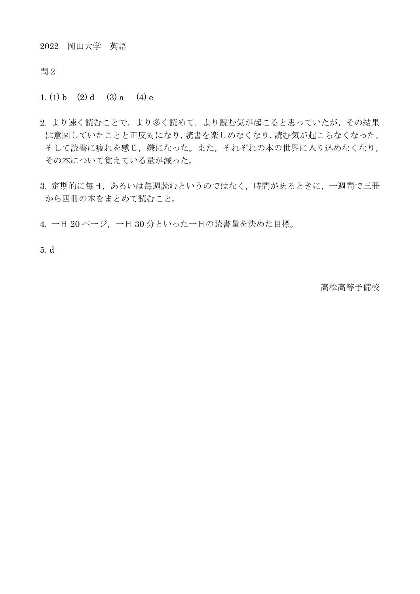2022 岡山大学 英語

問2

1. (1) b (2) d (3) a (4) e

- 2. より速く読むことで、より読めて、より読む気が起こると思っていたが、その結果 は意図していたことと正反対になり,読書を楽しめなくなり,読む気が起こらなくなった。 そして読書に疲れを感じ,嫌になった。また,それぞれの本の世界に入り込めなくなり, その本について覚えている量が減った。
- 3. 定期的に毎日,あるいは毎週読むというのではなく、時間があるときに、一週間で三冊 から四冊の本をまとめて読むこと。
- 4. 一日 20 ページ,一日 30 分といった一日の読書量を決めた目標。

5. d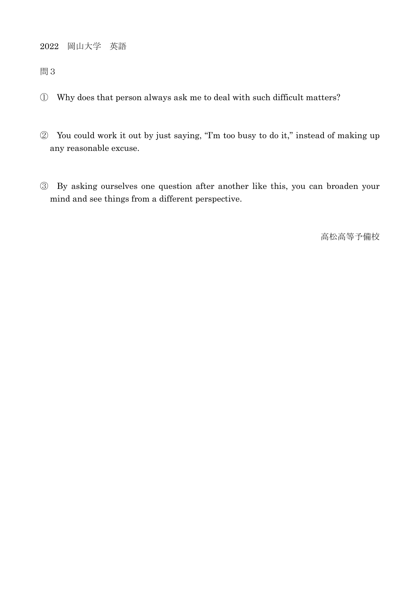2022 岡山大学 英語

問3

- ① Why does that person always ask me to deal with such difficult matters?
- ② You could work it out by just saying, "I'm too busy to do it," instead of making up any reasonable excuse.
- ③ By asking ourselves one question after another like this, you can broaden your mind and see things from a different perspective.